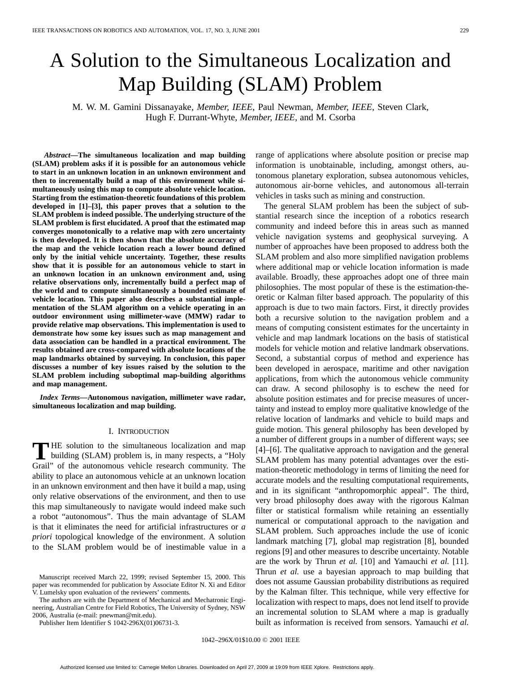# A Solution to the Simultaneous Localization and Map Building (SLAM) Problem

M. W. M. Gamini Dissanayake*, Member, IEEE*, Paul Newman*, Member, IEEE*, Steven Clark, Hugh F. Durrant-Whyte*, Member, IEEE*, and M. Csorba

*Abstract—***The simultaneous localization and map building (SLAM) problem asks if it is possible for an autonomous vehicle to start in an unknown location in an unknown environment and then to incrementally build a map of this environment while simultaneously using this map to compute absolute vehicle location. Starting from the estimation-theoretic foundations of this problem developed in [1]–[3], this paper proves that a solution to the SLAM problem is indeed possible. The underlying structure of the SLAM problem is first elucidated. A proof that the estimated map converges monotonically to a relative map with zero uncertainty is then developed. It is then shown that the absolute accuracy of the map and the vehicle location reach a lower bound defined only by the initial vehicle uncertainty. Together, these results show that it is possible for an autonomous vehicle to start in an unknown location in an unknown environment and, using relative observations only, incrementally build a perfect map of the world and to compute simultaneously a bounded estimate of vehicle location. This paper also describes a substantial implementation of the SLAM algorithm on a vehicle operating in an outdoor environment using millimeter-wave (MMW) radar to provide relative map observations. This implementation is used to demonstrate how some key issues such as map management and data association can be handled in a practical environment. The results obtained are cross-compared with absolute locations of the map landmarks obtained by surveying. In conclusion, this paper discusses a number of key issues raised by the solution to the SLAM problem including suboptimal map-building algorithms and map management.**

*Index Terms—***Autonomous navigation, millimeter wave radar, simultaneous localization and map building.**

### I. INTRODUCTION

**T** HE solution to the simultaneous localization and map<br>building (SLAM) problem is, in many respects, a "Holy Grail" of the autonomous vehicle research community. The ability to place an autonomous vehicle at an unknown location in an unknown environment and then have it build a map, using only relative observations of the environment, and then to use this map simultaneously to navigate would indeed make such a robot "autonomous". Thus the main advantage of SLAM is that it eliminates the need for artificial infrastructures or *a priori* topological knowledge of the environment. A solution to the SLAM problem would be of inestimable value in a

The authors are with the Department of Mechanical and Mechatronic Engineering, Australian Centre for Field Robotics, The University of Sydney, NSW 2006, Australia (e-mail: pnewman@mit.edu).

Publisher Item Identifier S 1042-296X(01)06731-3.

range of applications where absolute position or precise map information is unobtainable, including, amongst others, autonomous planetary exploration, subsea autonomous vehicles, autonomous air-borne vehicles, and autonomous all-terrain vehicles in tasks such as mining and construction.

The general SLAM problem has been the subject of substantial research since the inception of a robotics research community and indeed before this in areas such as manned vehicle navigation systems and geophysical surveying. A number of approaches have been proposed to address both the SLAM problem and also more simplified navigation problems where additional map or vehicle location information is made available. Broadly, these approaches adopt one of three main philosophies. The most popular of these is the estimation-theoretic or Kalman filter based approach. The popularity of this approach is due to two main factors. First, it directly provides both a recursive solution to the navigation problem and a means of computing consistent estimates for the uncertainty in vehicle and map landmark locations on the basis of statistical models for vehicle motion and relative landmark observations. Second, a substantial corpus of method and experience has been developed in aerospace, maritime and other navigation applications, from which the autonomous vehicle community can draw. A second philosophy is to eschew the need for absolute position estimates and for precise measures of uncertainty and instead to employ more qualitative knowledge of the relative location of landmarks and vehicle to build maps and guide motion. This general philosophy has been developed by a number of different groups in a number of different ways; see [4]–[6]. The qualitative approach to navigation and the general SLAM problem has many potential advantages over the estimation-theoretic methodology in terms of limiting the need for accurate models and the resulting computational requirements, and in its significant "anthropomorphic appeal". The third, very broad philosophy does away with the rigorous Kalman filter or statistical formalism while retaining an essentially numerical or computational approach to the navigation and SLAM problem. Such approaches include the use of iconic landmark matching [7], global map registration [8], bounded regions [9] and other measures to describe uncertainty. Notable are the work by Thrun *et al.* [10] and Yamauchi *et al.* [11]. Thrun *et al.* use a bayesian approach to map building that does not assume Gaussian probability distributions as required by the Kalman filter. This technique, while very effective for localization with respect to maps, does not lend itself to provide an incremental solution to SLAM where a map is gradually built as information is received from sensors. Yamauchi *et al.*

1042–296X/01\$10.00 © 2001 IEEE

Manuscript received March 22, 1999; revised September 15, 2000. This paper was recommended for publication by Associate Editor N. Xi and Editor V. Lumelsky upon evaluation of the reviewers' comments.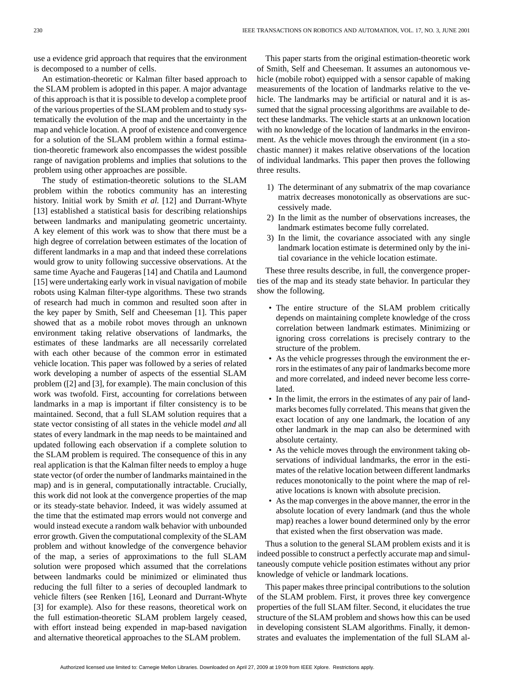use a evidence grid approach that requires that the environment is decomposed to a number of cells.

An estimation-theoretic or Kalman filter based approach to the SLAM problem is adopted in this paper. A major advantage of this approach is that it is possible to develop a complete proof of the various properties of the SLAM problem and to study systematically the evolution of the map and the uncertainty in the map and vehicle location. A proof of existence and convergence for a solution of the SLAM problem within a formal estimation-theoretic framework also encompasses the widest possible range of navigation problems and implies that solutions to the problem using other approaches are possible.

The study of estimation-theoretic solutions to the SLAM problem within the robotics community has an interesting history. Initial work by Smith *et al.* [12] and Durrant-Whyte [13] established a statistical basis for describing relationships between landmarks and manipulating geometric uncertainty. A key element of this work was to show that there must be a high degree of correlation between estimates of the location of different landmarks in a map and that indeed these correlations would grow to unity following successive observations. At the same time Ayache and Faugeras [14] and Chatila and Laumond [15] were undertaking early work in visual navigation of mobile robots using Kalman filter-type algorithms. These two strands of research had much in common and resulted soon after in the key paper by Smith, Self and Cheeseman [1]. This paper showed that as a mobile robot moves through an unknown environment taking relative observations of landmarks, the estimates of these landmarks are all necessarily correlated with each other because of the common error in estimated vehicle location. This paper was followed by a series of related work developing a number of aspects of the essential SLAM problem ([2] and [3], for example). The main conclusion of this work was twofold. First, accounting for correlations between landmarks in a map is important if filter consistency is to be maintained. Second, that a full SLAM solution requires that a state vector consisting of all states in the vehicle model *and* all states of every landmark in the map needs to be maintained and updated following each observation if a complete solution to the SLAM problem is required. The consequence of this in any real application is that the Kalman filter needs to employ a huge state vector (of order the number of landmarks maintained in the map) and is in general, computationally intractable. Crucially, this work did not look at the convergence properties of the map or its steady-state behavior. Indeed, it was widely assumed at the time that the estimated map errors would not converge and would instead execute a random walk behavior with unbounded error growth. Given the computational complexity of the SLAM problem and without knowledge of the convergence behavior of the map, a series of approximations to the full SLAM solution were proposed which assumed that the correlations between landmarks could be minimized or eliminated thus reducing the full filter to a series of decoupled landmark to vehicle filters (see Renken [16], Leonard and Durrant-Whyte [3] for example). Also for these reasons, theoretical work on the full estimation-theoretic SLAM problem largely ceased, with effort instead being expended in map-based navigation and alternative theoretical approaches to the SLAM problem.

This paper starts from the original estimation-theoretic work of Smith, Self and Cheeseman. It assumes an autonomous vehicle (mobile robot) equipped with a sensor capable of making measurements of the location of landmarks relative to the vehicle. The landmarks may be artificial or natural and it is assumed that the signal processing algorithms are available to detect these landmarks. The vehicle starts at an unknown location with no knowledge of the location of landmarks in the environment. As the vehicle moves through the environment (in a stochastic manner) it makes relative observations of the location of individual landmarks. This paper then proves the following three results.

- 1) The determinant of any submatrix of the map covariance matrix decreases monotonically as observations are successively made.
- 2) In the limit as the number of observations increases, the landmark estimates become fully correlated.
- 3) In the limit, the covariance associated with any single landmark location estimate is determined only by the initial covariance in the vehicle location estimate.

These three results describe, in full, the convergence properties of the map and its steady state behavior. In particular they show the following.

- The entire structure of the SLAM problem critically depends on maintaining complete knowledge of the cross correlation between landmark estimates. Minimizing or ignoring cross correlations is precisely contrary to the structure of the problem.
- As the vehicle progresses through the environment the errors in the estimates of any pair of landmarks become more and more correlated, and indeed never become less correlated.
- In the limit, the errors in the estimates of any pair of landmarks becomes fully correlated. This means that given the exact location of any one landmark, the location of any other landmark in the map can also be determined with absolute certainty.
- As the vehicle moves through the environment taking observations of individual landmarks, the error in the estimates of the relative location between different landmarks reduces monotonically to the point where the map of relative locations is known with absolute precision.
- As the map converges in the above manner, the error in the absolute location of every landmark (and thus the whole map) reaches a lower bound determined only by the error that existed when the first observation was made.

Thus a solution to the general SLAM problem exists and it is indeed possible to construct a perfectly accurate map and simultaneously compute vehicle position estimates without any prior knowledge of vehicle or landmark locations.

This paper makes three principal contributions to the solution of the SLAM problem. First, it proves three key convergence properties of the full SLAM filter. Second, it elucidates the true structure of the SLAM problem and shows how this can be used in developing consistent SLAM algorithms. Finally, it demonstrates and evaluates the implementation of the full SLAM al-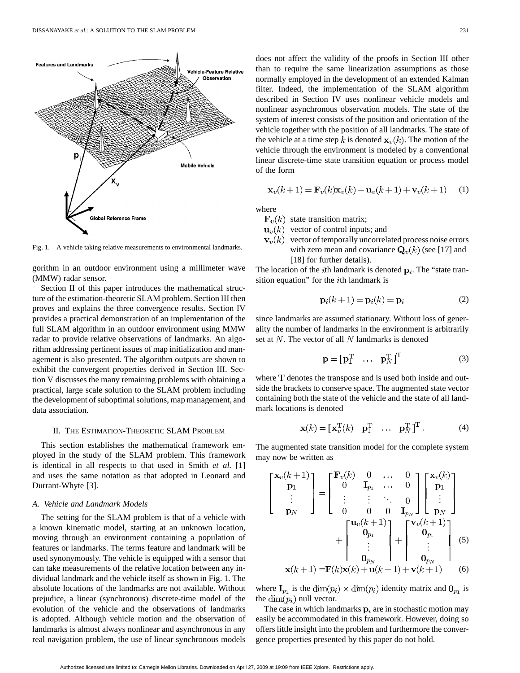

Fig. 1. A vehicle taking relative measurements to environmental landmarks.

gorithm in an outdoor environment using a millimeter wave (MMW) radar sensor.

Section II of this paper introduces the mathematical structure of the estimation-theoretic SLAM problem. Section III then proves and explains the three convergence results. Section IV provides a practical demonstration of an implementation of the full SLAM algorithm in an outdoor environment using MMW radar to provide relative observations of landmarks. An algorithm addressing pertinent issues of map initialization and management is also presented. The algorithm outputs are shown to exhibit the convergent properties derived in Section III. Section V discusses the many remaining problems with obtaining a practical, large scale solution to the SLAM problem including the development of suboptimal solutions, map management, and data association.

# II. THE ESTIMATION-THEORETIC SLAM PROBLEM

This section establishes the mathematical framework employed in the study of the SLAM problem. This framework is identical in all respects to that used in Smith *et al.* [1] and uses the same notation as that adopted in Leonard and Durrant-Whyte [3].

#### *A. Vehicle and Landmark Models*

The setting for the SLAM problem is that of a vehicle with a known kinematic model, starting at an unknown location, moving through an environment containing a population of features or landmarks. The terms feature and landmark will be used synonymously. The vehicle is equipped with a sensor that can take measurements of the relative location between any individual landmark and the vehicle itself as shown in Fig. 1. The absolute locations of the landmarks are not available. Without prejudice, a linear (synchronous) discrete-time model of the evolution of the vehicle and the observations of landmarks is adopted. Although vehicle motion and the observation of landmarks is almost always nonlinear and asynchronous in any real navigation problem, the use of linear synchronous models does not affect the validity of the proofs in Section III other than to require the same linearization assumptions as those normally employed in the development of an extended Kalman filter. Indeed, the implementation of the SLAM algorithm described in Section IV uses nonlinear vehicle models and nonlinear asynchronous observation models. The state of the system of interest consists of the position and orientation of the vehicle together with the position of all landmarks. The state of the vehicle at a time step k is denoted  $\mathbf{x}_v(k)$ . The motion of the vehicle through the environment is modeled by a conventional linear discrete-time state transition equation or process model of the form

$$
\mathbf{x}_v(k+1) = \mathbf{F}_v(k)\mathbf{x}_v(k) + \mathbf{u}_v(k+1) + \mathbf{v}_v(k+1)
$$
 (1)

where

 $\mathbf{F}_v(k)$  state transition matrix;

- $\mathbf{u}_v(k)$  vector of control inputs; and
- $\mathbf{v}_v(k)$  vector of temporally uncorrelated process noise errors with zero mean and covariance  $\mathbf{Q}_{v}(k)$  (see [17] and [18] for further details).

The location of the *i*th landmark is denoted  $\mathbf{p}_i$ . The "state transition equation" for the  $i$ th landmark is

$$
\mathbf{p}_i(k+1) = \mathbf{p}_i(k) = \mathbf{p}_i \tag{2}
$$

since landmarks are assumed stationary. Without loss of generality the number of landmarks in the environment is arbitrarily set at N. The vector of all N landmarks is denoted

$$
\mathbf{p} = [\mathbf{p}_1^{\mathrm{T}} \quad \dots \quad \mathbf{p}_N^{\mathrm{T}}]^{\mathrm{T}} \tag{3}
$$

where  $T$  denotes the transpose and is used both inside and outside the brackets to conserve space. The augmented state vector containing both the state of the vehicle and the state of all landmark locations is denoted

$$
\mathbf{x}(k) = \begin{bmatrix} \mathbf{x}_v^{\mathrm{T}}(k) & \mathbf{p}_1^{\mathrm{T}} & \dots & \mathbf{p}_N^{\mathrm{T}} \end{bmatrix}^{\mathrm{T}}.
$$
 (4)

The augmented state transition model for the complete system may now be written as

$$
\begin{bmatrix} \mathbf{x}_{v}(k+1) \\ \mathbf{p}_{1} \\ \vdots \\ \mathbf{p}_{N} \end{bmatrix} = \begin{bmatrix} \mathbf{F}_{v}(k) & 0 & \dots & 0 \\ 0 & \mathbf{I}_{p_{1}} & \dots & 0 \\ \vdots & \vdots & \ddots & 0 \\ 0 & 0 & 0 & \mathbf{I}_{p_{N}} \end{bmatrix} \begin{bmatrix} \mathbf{x}_{v}(k) \\ \mathbf{p}_{1} \\ \vdots \\ \mathbf{p}_{N} \end{bmatrix}
$$

$$
+ \begin{bmatrix} \mathbf{u}_{v}(k+1) \\ \mathbf{0}_{p_{1}} \\ \vdots \\ \mathbf{0}_{p_{1}} \\ \mathbf{0}_{p_{1}} \end{bmatrix} + \begin{bmatrix} \mathbf{v}_{v}(k+1) \\ \mathbf{0}_{p_{1}} \\ \vdots \\ \mathbf{0}_{p_{N}} \end{bmatrix} \quad (5)
$$

$$
\mathbf{x}(k+1) = \mathbf{F}(k)\mathbf{x}(k) + \mathbf{u}(k+1) + \mathbf{v}(k+1) \quad (6)
$$

where  $\mathbf{I}_{p_1}$  is the  $\dim(p_i) \times \dim(p_i)$  identity matrix and  $\mathbf{0}_{p_1}$  is the  $\dim(p_i)$  null vector.

The case in which landmarks  $\mathbf{p}_i$  are in stochastic motion may easily be accommodated in this framework. However, doing so offers little insight into the problem and furthermore the convergence properties presented by this paper do not hold.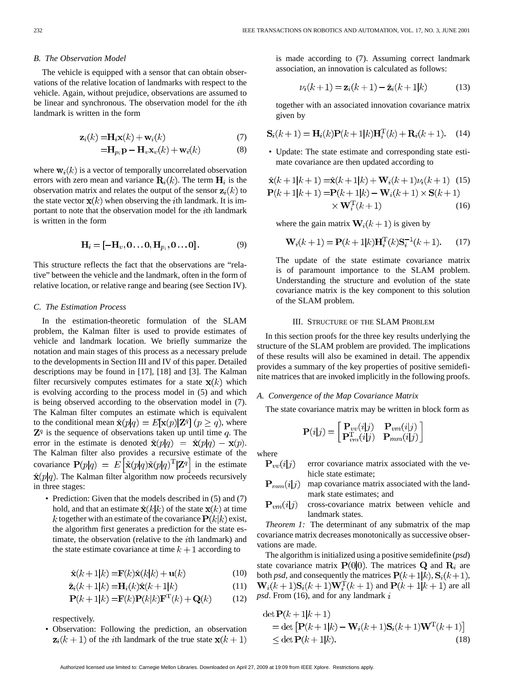#### *B. The Observation Model*

The vehicle is equipped with a sensor that can obtain observations of the relative location of landmarks with respect to the vehicle. Again, without prejudice, observations are assumed to be linear and synchronous. The observation model for the  $i$ th landmark is written in the form

$$
\mathbf{z}_i(k) = \mathbf{H}_i \mathbf{x}(k) + \mathbf{w}_i(k) \tag{7}
$$

$$
=H_{p_i}\mathbf{p}-\mathbf{H}_v\mathbf{x}_v(k)+\mathbf{w}_i(k)\tag{8}
$$

where  $w_i(k)$  is a vector of temporally uncorrelated observation errors with zero mean and variance  $\mathbf{R}_i(k)$ . The term  $\mathbf{H}_i$  is the observation matrix and relates the output of the sensor  $z_i(k)$  to the state vector  $\mathbf{x}(k)$  when observing the *i*th landmark. It is important to note that the observation model for the  $i$ th landmark is written in the form

$$
\mathbf{H}_{i} = [-\mathbf{H}_{v}, 0 \dots 0, \mathbf{H}_{p_{i}}, 0 \dots 0]. \tag{9}
$$

This structure reflects the fact that the observations are "relative" between the vehicle and the landmark, often in the form of relative location, or relative range and bearing (see Section IV).

# *C. The Estimation Process*

In the estimation-theoretic formulation of the SLAM problem, the Kalman filter is used to provide estimates of vehicle and landmark location. We briefly summarize the notation and main stages of this process as a necessary prelude to the developments in Section III and IV of this paper. Detailed descriptions may be found in [17], [18] and [3]. The Kalman filter recursively computes estimates for a state  $x(k)$  which is evolving according to the process model in (5) and which is being observed according to the observation model in (7). The Kalman filter computes an estimate which is equivalent to the conditional mean  $\hat{\mathbf{x}}(p|q) = E[\mathbf{x}(p)|\mathbf{Z}^q]$   $(p \ge q)$ , where  $\mathbb{Z}^q$  is the sequence of observations taken up until time q. The error in the estimate is denoted  $\tilde{\mathbf{x}}(p|q) = \hat{\mathbf{x}}(p|q) - \mathbf{x}(p)$ . The Kalman filter also provides a recursive estimate of the covariance  $P(p|q) = E \left| \tilde{\mathbf{x}}(p|q)\tilde{\mathbf{x}}(p|q)^{\mathrm{T}} | \mathbf{Z}^q \right|$  in the estimate  $\hat{\mathbf{x}}(p|q)$ . The Kalman filter algorithm now proceeds recursively in three stages:

• Prediction: Given that the models described in (5) and (7) hold, and that an estimate  $\hat{\mathbf{x}}(k|k)$  of the state  $\mathbf{x}(k)$  at time k together with an estimate of the covariance  $P(k|k)$  exist, the algorithm first generates a prediction for the state estimate, the observation (relative to the  $i$ th landmark) and the state estimate covariance at time  $k+1$  according to

$$
\hat{\mathbf{x}}(k+1|k) = \mathbf{F}(k)\hat{\mathbf{x}}(k|k) + \mathbf{u}(k)
$$
 (10)

$$
\hat{\mathbf{z}}_i(k+1|k) = \mathbf{H}_i(k)\hat{\mathbf{x}}(k+1|k)
$$
\n(11)

$$
\mathbf{P}(k+1|k) = \mathbf{F}(k)\mathbf{P}(k|k)\mathbf{F}^{\mathrm{T}}(k) + \mathbf{Q}(k)
$$
 (12)

respectively.

• Observation: Following the prediction, an observation  $z_i(k+1)$  of the *i*th landmark of the true state  $x(k+1)$  is made according to (7). Assuming correct landmark association, an innovation is calculated as follows:

$$
\nu_i(k+1) = \mathbf{z}_i(k+1) - \hat{\mathbf{z}}_i(k+1|k)
$$
 (13)

together with an associated innovation covariance matrix given by

$$
S_i(k+1) = H_i(k)P(k+1|k)H_i^{T}(k) + R_i(k+1).
$$
 (14)

• Update: The state estimate and corresponding state estimate covariance are then updated according to

$$
\hat{\mathbf{x}}(k+1|k+1) = \hat{\mathbf{x}}(k+1|k) + \mathbf{W}_i(k+1)\nu_i(k+1)
$$
 (15)  

$$
\mathbf{P}(k+1|k+1) = \mathbf{P}(k+1|k) - \mathbf{W}_i(k+1) \times \mathbf{S}(k+1)
$$
  

$$
\times \mathbf{W}_i^{\mathrm{T}}(k+1)
$$
 (16)

where the gain matrix  $\mathbf{W}_i(k+1)$  is given by

$$
\mathbf{W}_i(k+1) = \mathbf{P}(k+1|k)\mathbf{H}_i^{\mathrm{T}}(k)\mathbf{S}_i^{-1}(k+1). \tag{17}
$$

The update of the state estimate covariance matrix is of paramount importance to the SLAM problem. Understanding the structure and evolution of the state covariance matrix is the key component to this solution of the SLAM problem.

## III. STRUCTURE OF THE SLAM PROBLEM

In this section proofs for the three key results underlying the structure of the SLAM problem are provided. The implications of these results will also be examined in detail. The appendix provides a summary of the key properties of positive semidefinite matrices that are invoked implicitly in the following proofs.

# *A. Convergence of the Map Covariance Matrix*

The state covariance matrix may be written in block form as

$$
\mathbf{P}(i|j) = \begin{bmatrix} \mathbf{P}_{vv}(i|j) & \mathbf{P}_{vm}(i|j) \\ \mathbf{P}_{vm}^{\mathrm{T}}(i|j) & \mathbf{P}_{mm}(i|j) \end{bmatrix}
$$

where

 ${\bf P}_{vv}(i|j)$ error covariance matrix associated with the vehicle state estimate;

- $\mathbf{P}_{mm}(i|j)$ map covariance matrix associated with the landmark state estimates; and
- ${\bf P}_{vm}(i|j)$ cross-covariance matrix between vehicle and landmark states.

*Theorem 1:* The determinant of any submatrix of the map covariance matrix decreases monotonically as successive observations are made.

The algorithm is initialized using a positive semidefinite (*psd*) state covariance matrix  $P(0|0)$ . The matrices Q and  $R_i$  are both *psd*, and consequently the matrices  $P(k+1|k)$ ,  $S_i(k+1)$ ,  $\mathbf{W}_i(k+1)\mathbf{S}_i(k+1)\mathbf{W}_i^{\mathrm{T}}(k+1)$  and  $\mathbf{P}(k+1|k+1)$  are all *psd*. From (16), and for any landmark

$$
\det \mathbf{P}(k+1|k+1)
$$
  
= det  $[\mathbf{P}(k+1|k) - \mathbf{W}_i(k+1)\mathbf{S}_i(k+1)\mathbf{W}^{\mathrm{T}}(k+1)]$   
 $\leq \det \mathbf{P}(k+1|k).$  (18)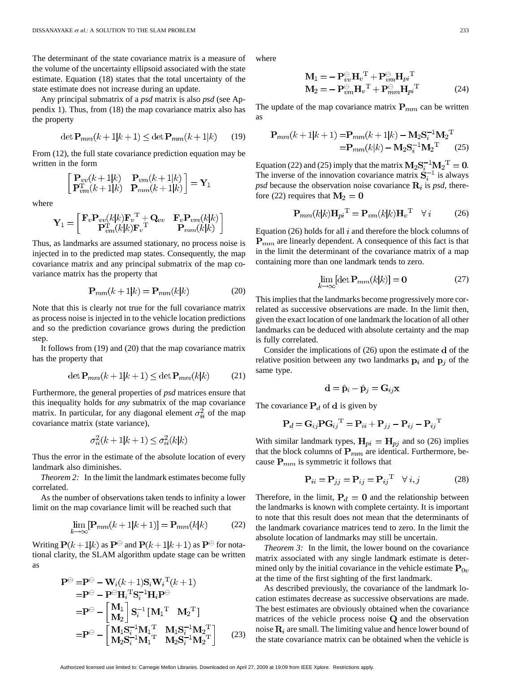The determinant of the state covariance matrix is a measure of the volume of the uncertainty ellipsoid associated with the state estimate. Equation (18) states that the total uncertainty of the state estimate does not increase during an update.

Any principal submatrix of a *psd* matrix is also *psd* (see Appendix 1). Thus, from (18) the map covariance matrix also has the property

$$
\det \mathbf{P}_{mm}(k+1|k+1) \le \det \mathbf{P}_{mm}(k+1|k) \qquad (19)
$$

From (12), the full state covariance prediction equation may be written in the form

$$
\begin{bmatrix}\n\mathbf{P}_{vv}(k+1|k) & \mathbf{P}_{vm}(k+1|k) \\
\mathbf{P}_{vm}^{\mathrm{T}}(k+1|k) & \mathbf{P}_{mm}(k+1|k)\n\end{bmatrix} = \mathbf{Y}_1
$$

where

$$
\mathbf{Y}_1 = \begin{bmatrix} \mathbf{F}_v \mathbf{P}_{vv}(k|k) \mathbf{F}_v^{\mathrm{T}} + \mathbf{Q}_{vv} & \mathbf{F}_v \mathbf{P}_{vm}(k|k) \\ \mathbf{P}_{vm}^{\mathrm{T}}(k|k) \mathbf{F}_v^{\mathrm{T}} & \mathbf{P}_{mm}(k|k) \end{bmatrix}
$$

Thus, as landmarks are assumed stationary, no process noise is injected in to the predicted map states. Consequently, the map covariance matrix and any principal submatrix of the map covariance matrix has the property that

$$
\mathbf{P}_{mm}(k+1|k) = \mathbf{P}_{mm}(k|k)
$$
 (20)

Note that this is clearly not true for the full covariance matrix as process noise is injected in to the vehicle location predictions and so the prediction covariance grows during the prediction step.

It follows from (19) and (20) that the map covariance matrix has the property that

$$
\det \mathbf{P}_{mm}(k+1|k+1) \le \det \mathbf{P}_{mm}(k|k) \tag{21}
$$

Furthermore, the general properties of *psd* matrices ensure that this inequality holds for *any* submatrix of the map covariance matrix. In particular, for any diagonal element  $\sigma_{ii}^2$  of the map covariance matrix (state variance),

$$
\sigma_{ii}^2(k+1|k+1) \le \sigma_{ii}^2(k|k)
$$

Thus the error in the estimate of the absolute location of every landmark also diminishes.

*Theorem 2:* In the limit the landmark estimates become fully correlated.

As the number of observations taken tends to infinity a lower limit on the map covariance limit will be reached such that

$$
\lim_{k \to \infty} [\mathbf{P}_{mm}(k+1|k+1)] = \mathbf{P}_{mm}(k|k) \tag{22}
$$

Writing  $P(k+1|k)$  as  $P^{\ominus}$  and  $P(k+1|k+1)$  as  $P^{\ominus}$  for notational clarity, the SLAM algorithm update stage can be written as

$$
\mathbf{P}^{\ominus} = \mathbf{P}^{\ominus} - \mathbf{W}_i(k+1)\mathbf{S}_i\mathbf{W}_i^{\mathrm{T}}(k+1)
$$
  
\n
$$
= \mathbf{P}^{\ominus} - \mathbf{P}^{\ominus}\mathbf{H}_i^{\mathrm{T}}\mathbf{S}_i^{-1}\mathbf{H}_i\mathbf{P}^{\ominus}
$$
  
\n
$$
= \mathbf{P}^{\ominus} - \begin{bmatrix} \mathbf{M}_1 \\ \mathbf{M}_2 \end{bmatrix} \mathbf{S}_i^{-1} [\mathbf{M}_1^{\mathrm{T}} \quad \mathbf{M}_2^{\mathrm{T}}]
$$
  
\n
$$
= \mathbf{P}^{\ominus} - \begin{bmatrix} \mathbf{M}_1\mathbf{S}_i^{-1}\mathbf{M}_1^{\mathrm{T}} & \mathbf{M}_1\mathbf{S}_i^{-1}\mathbf{M}_2^{\mathrm{T}} \\ \mathbf{M}_2\mathbf{S}_i^{-1}\mathbf{M}_1^{\mathrm{T}} & \mathbf{M}_2\mathbf{S}_i^{-1}\mathbf{M}_2^{\mathrm{T}} \end{bmatrix} \tag{23}
$$

where

$$
\mathbf{M}_{1} = -\mathbf{P}_{vv}^{\ominus} \mathbf{H}_{v}^{\mathrm{T}} + \mathbf{P}_{vm}^{\ominus} \mathbf{H}_{pi}^{\mathrm{T}} \n\mathbf{M}_{2} = -\mathbf{P}_{vm}^{\ominus} \mathbf{H}_{v}^{\mathrm{T}} + \mathbf{P}_{mm}^{\ominus} \mathbf{H}_{pi}^{\mathrm{T}} \tag{24}
$$

The update of the map covariance matrix  $P_{mm}$  can be written as

$$
\mathbf{P}_{mm}(k+1|k+1) = \mathbf{P}_{mm}(k+1|k) - \mathbf{M}_2 \mathbf{S}_i^{-1} \mathbf{M}_2^{-T}
$$
  
= 
$$
\mathbf{P}_{mm}(k|k) - \mathbf{M}_2 \mathbf{S}_i^{-1} \mathbf{M}_2^{-T}
$$
 (25)

Equation (22) and (25) imply that the matrix  $M_2S_i^{-1}M_2^{-1}=0$ . The inverse of the innovation covariance matrix  $S_i^{-1}$  is always *psd* because the observation noise covariance  $\mathbf{R}_i$  is *psd*, therefore (22) requires that  $M_2 = 0$ 

$$
\mathbf{P}_{mm}(k|k)\mathbf{H}_{pi}^{\mathrm{T}} = \mathbf{P}_{vm}(k|k)\mathbf{H}_{v}^{\mathrm{T}} \quad \forall i \tag{26}
$$

Equation (26) holds for all  $i$  and therefore the block columns of  $P_{mm}$  are linearly dependent. A consequence of this fact is that in the limit the determinant of the covariance matrix of a map containing more than one landmark tends to zero.

$$
\lim_{k \to \infty} [\det \mathbf{P}_{mm}(k|k)] = \mathbf{0} \tag{27}
$$

This implies that the landmarks become progressively more correlated as successive observations are made. In the limit then, given the exact location of one landmark the location of all other landmarks can be deduced with absolute certainty and the map is fully correlated.

Consider the implications of  $(26)$  upon the estimate d of the relative position between any two landmarks  $p_i$  and  $p_j$  of the same type.

$$
\mathbf{d} = \hat{\mathbf{p}}_i - \hat{\mathbf{p}}_j = \mathbf{G}_{ij}\mathbf{x}
$$

The covariance  $P_d$  of d is given by

$$
\mathbf{P}_{d} = \mathbf{G}_{ij} \mathbf{P} \mathbf{G}_{ij}^{\mathrm{T}} = \mathbf{P}_{ii} + \mathbf{P}_{jj} - \mathbf{P}_{ij} - \mathbf{P}_{ij}^{\mathrm{T}}
$$

With similar landmark types,  $H_{pi} = H_{pj}$  and so (26) implies that the block columns of  $P_{mm}$  are identical. Furthermore, because  $P_{mm}$  is symmetric it follows that

$$
\mathbf{P}_{ii} = \mathbf{P}_{jj} = \mathbf{P}_{ij} = \mathbf{P}_{ij}^{\mathrm{T}} \quad \forall i, j \tag{28}
$$

Therefore, in the limit,  $P_d = 0$  and the relationship between the landmarks is known with complete certainty. It is important to note that this result does not mean that the determinants of the landmark covariance matrices tend to zero. In the limit the absolute location of landmarks may still be uncertain.

*Theorem 3:* In the limit, the lower bound on the covariance matrix associated with any single landmark estimate is determined only by the initial covariance in the vehicle estimate  $P_{0v}$ at the time of the first sighting of the first landmark.

As described previously, the covariance of the landmark location estimates decrease as successive observations are made. The best estimates are obviously obtained when the covariance matrices of the vehicle process noise  $Q$  and the observation noise  $R_i$  are small. The limiting value and hence lower bound of the state covariance matrix can be obtained when the vehicle is

Authorized licensed use limited to: Carnegie Mellon Libraries. Downloaded on April 27, 2009 at 19:09 from IEEE Xplore. Restrictions apply.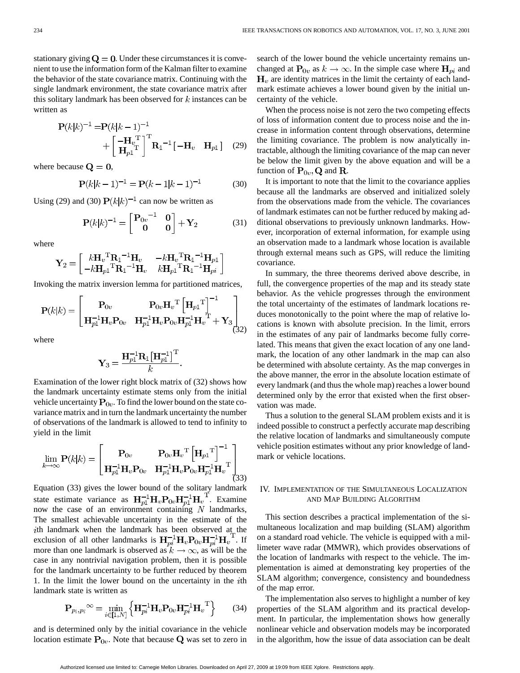stationary giving  $Q = 0$ . Under these circumstances it is convenient to use the information form of the Kalman filter to examine the behavior of the state covariance matrix. Continuing with the single landmark environment, the state covariance matrix after this solitary landmark has been observed for  $k$  instances can be written as

$$
\mathbf{P}(k|k)^{-1} = \mathbf{P}(k|k-1)^{-1} + \begin{bmatrix} -\mathbf{H}_v^{\mathrm{T}} \\ \mathbf{H}_{p1}^{\mathrm{T}} \end{bmatrix}^{\mathrm{T}} \mathbf{R}_1^{-1} \begin{bmatrix} -\mathbf{H}_v & \mathbf{H}_{p1} \end{bmatrix} \quad (29)
$$

where because  $Q = 0$ ,

$$
\mathbf{P}(k|k-1)^{-1} = \mathbf{P}(k-1|k-1)^{-1}
$$
 (30)

Using (29) and (30)  $P(k|k)^{-1}$  can now be written as

$$
\mathbf{P}(k|k)^{-1} = \begin{bmatrix} \mathbf{P}_{0v}^{-1} & \mathbf{0} \\ \mathbf{0} & \mathbf{0} \end{bmatrix} + \mathbf{Y}_2 \quad (31)
$$

where

$$
\mathbf{Y}_2 = \begin{bmatrix} k\mathbf{H}_{\upsilon}^{\mathrm{T}} \mathbf{R}_1^{-1} \mathbf{H}_{\upsilon} & -k\mathbf{H}_{\upsilon}^{\mathrm{T}} \mathbf{R}_1^{-1} \mathbf{H}_{p1} \\ -k\mathbf{H}_{p1}^{\mathrm{T}} \mathbf{R}_1^{-1} \mathbf{H}_{\upsilon} & k\mathbf{H}_{p1}^{\mathrm{T}} \mathbf{R}_1^{-1} \mathbf{H}_{p2} \end{bmatrix}
$$

Invoking the matrix inversion lemma for partitioned matrices,

$$
\mathbf{P}(k|k) = \begin{bmatrix} \mathbf{P}_{0v} & \mathbf{P}_{0v} \mathbf{H}_v^{\mathrm{T}} \left[ \mathbf{H}_{p1}^{\mathrm{T}} \right]^{-1} \\ \mathbf{H}_{p1}^{-1} \mathbf{H}_v \mathbf{P}_{0v} & \mathbf{H}_{p1}^{-1} \mathbf{H}_v \mathbf{P}_{0v} \mathbf{H}_{p1}^{-1} \mathbf{H}_v^{\mathrm{T}} + \mathbf{Y}_3 \end{bmatrix}
$$
(32)

where

$$
\mathbf{Y}_3 = \frac{\mathbf{H}_{p1}^{-1}\mathbf{R}_1\big[\mathbf{H}_{p1}^{-1}\big]^{\mathrm{T}}}{k}
$$

Examination of the lower right block matrix of (32) shows how the landmark uncertainty estimate stems only from the initial vehicle uncertainty  $P_{0v}$ . To find the lower bound on the state covariance matrix and in turn the landmark uncertainty the number of observations of the landmark is allowed to tend to infinity to yield in the limit

$$
\lim_{k \to \infty} \mathbf{P}(k|k) = \begin{bmatrix} \mathbf{P}_{0v} & \mathbf{P}_{0v} \mathbf{H}_v^{\mathrm{T}} \begin{bmatrix} \mathbf{H}_{p1}^{\mathrm{T}} \end{bmatrix}^{-1} \\ \mathbf{H}_{p1}^{-1} \mathbf{H}_v \mathbf{P}_{0v} & \mathbf{H}_{p1}^{-1} \mathbf{H}_v \mathbf{P}_{0v} \mathbf{H}_{p1}^{-1} \mathbf{H}_v^{\mathrm{T}} \end{bmatrix} \tag{33}
$$

Equation (33) gives the lower bound of the solitary landmark state estimate variance as  $H_{n1}^{-1}H_{v}P_{0v}H_{n1}^{-1}H_{v}$ . Examine now the case of an environment containing  $N$  landmarks, The smallest achievable uncertainty in the estimate of the ith landmark when the landmark has been observed at the exclusion of all other landmarks is  $H_{pi}^{-1}H_{v}P_{0v}H_{pi}^{-1}H_{v}^{T}$ . If more than one landmark is observed as  $k \to \infty$ , as will be the case in any nontrivial navigation problem, then it is possible for the landmark uncertainty to be further reduced by theorem 1. In the limit the lower bound on the uncertainty in the  $i$ th landmark state is written as

$$
\mathbf{P}_{p_i, p_i}^{\circ} \sim \lim_{i \in [1, N]} \left\{ \mathbf{H}_{pi}^{-1} \mathbf{H}_v \mathbf{P}_{0v} \mathbf{H}_{pi}^{-1} \mathbf{H}_v^{\mathrm{T}} \right\} \tag{34}
$$

and is determined only by the initial covariance in the vehicle location estimate  $P_{0v}$ . Note that because Q was set to zero in search of the lower bound the vehicle uncertainty remains unchanged at  $P_{0v}$  as  $k \to \infty$ . In the simple case where  $H_{pi}$  and  $H_v$  are identity matrices in the limit the certainty of each landmark estimate achieves a lower bound given by the initial uncertainty of the vehicle.

When the process noise is not zero the two competing effects of loss of information content due to process noise and the increase in information content through observations, determine the limiting covariance. The problem is now analytically intractable, although the limiting covariance of the map can never be below the limit given by the above equation and will be a function of  $P_{0v}$ , Q and R.

It is important to note that the limit to the covariance applies because all the landmarks are observed and initialized solely from the observations made from the vehicle. The covariances of landmark estimates can not be further reduced by making additional observations to previously unknown landmarks. However, incorporation of external information, for example using an observation made to a landmark whose location is available through external means such as GPS, will reduce the limiting covariance.

In summary, the three theorems derived above describe, in full, the convergence properties of the map and its steady state behavior. As the vehicle progresses through the environment the total uncertainty of the estimates of landmark locations reduces monotonically to the point where the map of relative locations is known with absolute precision. In the limit, errors in the estimates of any pair of landmarks become fully correlated. This means that given the exact location of any one landmark, the location of any other landmark in the map can also be determined with absolute certainty. As the map converges in the above manner, the error in the absolute location estimate of every landmark (and thus the whole map) reaches a lower bound determined only by the error that existed when the first observation was made.

Thus a solution to the general SLAM problem exists and it is indeed possible to construct a perfectly accurate map describing the relative location of landmarks and simultaneously compute vehicle position estimates without any prior knowledge of landmark or vehicle locations.

# IV. IMPLEMENTATION OF THE SIMULTANEOUS LOCALIZATION AND MAP BUILDING ALGORITHM

This section describes a practical implementation of the simultaneous localization and map building (SLAM) algorithm on a standard road vehicle. The vehicle is equipped with a millimeter wave radar (MMWR), which provides observations of the location of landmarks with respect to the vehicle. The implementation is aimed at demonstrating key properties of the SLAM algorithm; convergence, consistency and boundedness of the map error.

The implementation also serves to highlight a number of key properties of the SLAM algorithm and its practical development. In particular, the implementation shows how generally nonlinear vehicle and observation models may be incorporated in the algorithm, how the issue of data association can be dealt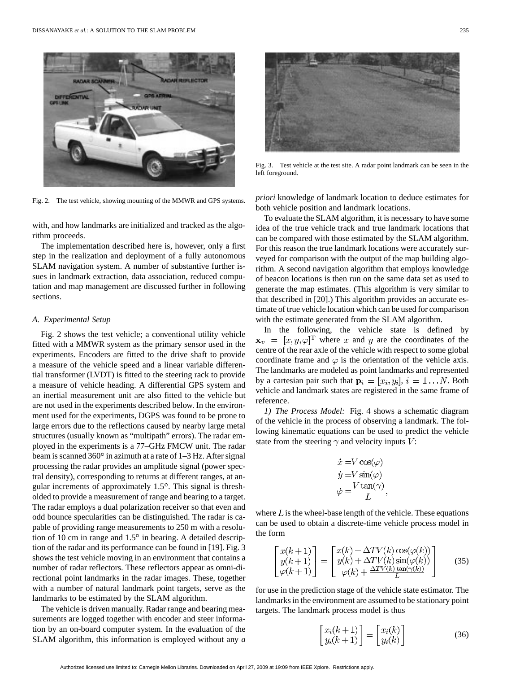

Fig. 2. The test vehicle, showing mounting of the MMWR and GPS systems.

with, and how landmarks are initialized and tracked as the algorithm proceeds.

The implementation described here is, however, only a first step in the realization and deployment of a fully autonomous SLAM navigation system. A number of substantive further issues in landmark extraction, data association, reduced computation and map management are discussed further in following sections.

#### *A. Experimental Setup*

Fig. 2 shows the test vehicle; a conventional utility vehicle fitted with a MMWR system as the primary sensor used in the experiments. Encoders are fitted to the drive shaft to provide a measure of the vehicle speed and a linear variable differential transformer (LVDT) is fitted to the steering rack to provide a measure of vehicle heading. A differential GPS system and an inertial measurement unit are also fitted to the vehicle but are not used in the experiments described below. In the environment used for the experiments, DGPS was found to be prone to large errors due to the reflections caused by nearby large metal structures (usually known as "multipath" errors). The radar employed in the experiments is a 77–GHz FMCW unit. The radar beam is scanned  $360^\circ$  in azimuth at a rate of  $1-3$  Hz. After signal processing the radar provides an amplitude signal (power spectral density), corresponding to returns at different ranges, at angular increments of approximately  $1.5^\circ$ . This signal is thresholded to provide a measurement of range and bearing to a target. The radar employs a dual polarization receiver so that even and odd bounce specularities can be distinguished. The radar is capable of providing range measurements to 250 m with a resolution of 10 cm in range and  $1.5^\circ$  in bearing. A detailed description of the radar and its performance can be found in [19]. Fig. 3 shows the test vehicle moving in an environment that contains a number of radar reflectors. These reflectors appear as omni-directional point landmarks in the radar images. These, together with a number of natural landmark point targets, serve as the landmarks to be estimated by the SLAM algorithm.

The vehicle is driven manually. Radar range and bearing measurements are logged together with encoder and steer information by an on-board computer system. In the evaluation of the SLAM algorithm, this information is employed without any *a*



Fig. 3. Test vehicle at the test site. A radar point landmark can be seen in the left foreground.

*priori* knowledge of landmark location to deduce estimates for both vehicle position and landmark locations.

To evaluate the SLAM algorithm, it is necessary to have some idea of the true vehicle track and true landmark locations that can be compared with those estimated by the SLAM algorithm. For this reason the true landmark locations were accurately surveyed for comparison with the output of the map building algorithm. A second navigation algorithm that employs knowledge of beacon locations is then run on the same data set as used to generate the map estimates. (This algorithm is very similar to that described in [20].) This algorithm provides an accurate estimate of true vehicle location which can be used for comparison with the estimate generated from the SLAM algorithm.

In the following, the vehicle state is defined by  $\mathbf{x}_v = [x, y, \varphi]^T$  where x and y are the coordinates of the centre of the rear axle of the vehicle with respect to some global coordinate frame and  $\varphi$  is the orientation of the vehicle axis. The landmarks are modeled as point landmarks and represented by a cartesian pair such that  $\mathbf{p}_i = [x_i, y_i], i = 1...N$ . Both vehicle and landmark states are registered in the same frame of reference.

*1) The Process Model:* Fig. 4 shows a schematic diagram of the vehicle in the process of observing a landmark. The following kinematic equations can be used to predict the vehicle state from the steering  $\gamma$  and velocity inputs V:

$$
\begin{aligned} \dot{x}=&V\cos(\varphi)\\ \dot{y}=&V\sin(\varphi)\\ \dot{\varphi}=&\frac{V\tan(\gamma)}{L}, \end{aligned}
$$

where  $L$  is the wheel-base length of the vehicle. These equations can be used to obtain a discrete-time vehicle process model in the form

$$
\begin{bmatrix} x(k+1) \\ y(k+1) \\ \varphi(k+1) \end{bmatrix} = \begin{bmatrix} x(k) + \Delta TV(k) \cos(\varphi(k)) \\ y(k) + \Delta TV(k) \sin(\varphi(k)) \\ \varphi(k) + \frac{\Delta TV(k) \tan(\gamma(k))}{L} \end{bmatrix}
$$
(35)

for use in the prediction stage of the vehicle state estimator. The landmarks in the environment are assumed to be stationary point targets. The landmark process model is thus

$$
\begin{bmatrix} x_i(k+1) \\ y_i(k+1) \end{bmatrix} = \begin{bmatrix} x_i(k) \\ y_i(k) \end{bmatrix}
$$
 (36)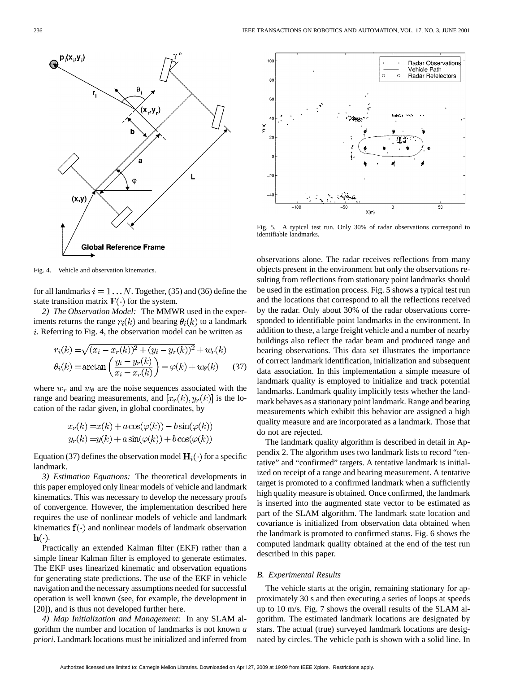

Fig. 4. Vehicle and observation kinematics.

for all landmarks  $i = 1...N$ . Together, (35) and (36) define the state transition matrix  $\mathbf{F}(\cdot)$  for the system.

*2) The Observation Model:* The MMWR used in the experiments returns the range  $r_i(k)$  and bearing  $\theta_i(k)$  to a landmark  $i$ . Referring to Fig. 4, the observation model can be written as

$$
r_i(k) = \sqrt{(x_i - x_r(k))^2 + (y_i - y_r(k))^2} + w_r(k)
$$
  

$$
\theta_i(k) = \arctan\left(\frac{y_i - y_r(k)}{x_i - x_r(k)}\right) - \varphi(k) + w_\theta(k) \tag{37}
$$

where  $w_r$  and  $w_\theta$  are the noise sequences associated with the range and bearing measurements, and  $[x_r(k), y_r(k)]$  is the location of the radar given, in global coordinates, by

$$
x_r(k) = x(k) + a\cos(\varphi(k)) - b\sin(\varphi(k))
$$
  

$$
y_r(k) = y(k) + a\sin(\varphi(k)) + b\cos(\varphi(k))
$$

Equation (37) defines the observation model  $H_i(\cdot)$  for a specific landmark.

*3) Estimation Equations:* The theoretical developments in this paper employed only linear models of vehicle and landmark kinematics. This was necessary to develop the necessary proofs of convergence. However, the implementation described here requires the use of nonlinear models of vehicle and landmark kinematics  $f(\cdot)$  and nonlinear models of landmark observation  $\mathbf{h}(\cdot)$ .

Practically an extended Kalman filter (EKF) rather than a simple linear Kalman filter is employed to generate estimates. The EKF uses linearized kinematic and observation equations for generating state predictions. The use of the EKF in vehicle navigation and the necessary assumptions needed for successful operation is well known (see, for example, the development in [20]), and is thus not developed further here.

*4) Map Initialization and Management:* In any SLAM algorithm the number and location of landmarks is not known *a priori*. Landmark locations must be initialized and inferred from



Fig. 5. A typical test run. Only 30% of radar observations correspond to identifiable landmarks.

observations alone. The radar receives reflections from many objects present in the environment but only the observations resulting from reflections from stationary point landmarks should be used in the estimation process. Fig. 5 shows a typical test run and the locations that correspond to all the reflections received by the radar. Only about 30% of the radar observations corresponded to identifiable point landmarks in the environment. In addition to these, a large freight vehicle and a number of nearby buildings also reflect the radar beam and produced range and bearing observations. This data set illustrates the importance of correct landmark identification, initialization and subsequent data association. In this implementation a simple measure of landmark quality is employed to initialize and track potential landmarks. Landmark quality implicitly tests whether the landmark behaves as a stationary point landmark. Range and bearing measurements which exhibit this behavior are assigned a high quality measure and are incorporated as a landmark. Those that do not are rejected.

The landmark quality algorithm is described in detail in Appendix 2. The algorithm uses two landmark lists to record "tentative" and "confirmed" targets. A tentative landmark is initialized on receipt of a range and bearing measurement. A tentative target is promoted to a confirmed landmark when a sufficiently high quality measure is obtained. Once confirmed, the landmark is inserted into the augmented state vector to be estimated as part of the SLAM algorithm. The landmark state location and covariance is initialized from observation data obtained when the landmark is promoted to confirmed status. Fig. 6 shows the computed landmark quality obtained at the end of the test run described in this paper.

# *B. Experimental Results*

The vehicle starts at the origin, remaining stationary for approximately 30 s and then executing a series of loops at speeds up to 10 m/s. Fig. 7 shows the overall results of the SLAM algorithm. The estimated landmark locations are designated by stars. The actual (true) surveyed landmark locations are designated by circles. The vehicle path is shown with a solid line. In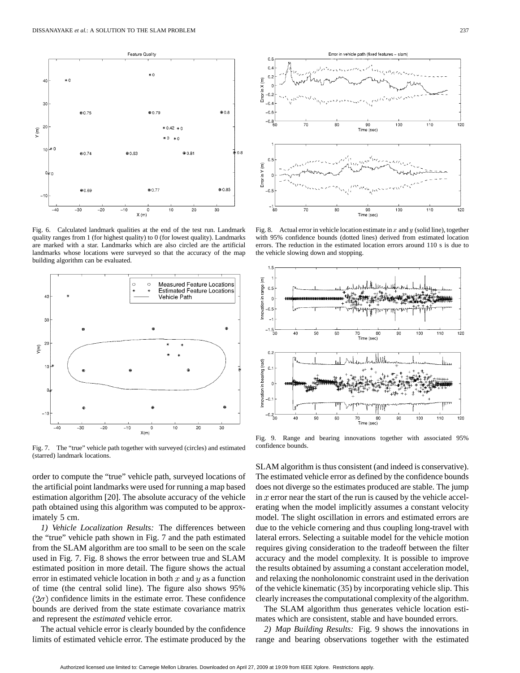

Fig. 6. Calculated landmark qualities at the end of the test run. Landmark quality ranges from 1 (for highest quality) to 0 (for lowest quality). Landmarks are marked with a star. Landmarks which are also circled are the artificial landmarks whose locations were surveyed so that the accuracy of the map building algorithm can be evaluated.



Fig. 7. The "true" vehicle path together with surveyed (circles) and estimated (starred) landmark locations.

order to compute the "true" vehicle path, surveyed locations of the artificial point landmarks were used for running a map based estimation algorithm [20]. The absolute accuracy of the vehicle path obtained using this algorithm was computed to be approximately 5 cm.

*1) Vehicle Localization Results:* The differences between the "true" vehicle path shown in Fig. 7 and the path estimated from the SLAM algorithm are too small to be seen on the scale used in Fig. 7. Fig. 8 shows the error between true and SLAM estimated position in more detail. The figure shows the actual error in estimated vehicle location in both  $x$  and  $y$  as a function of time (the central solid line). The figure also shows 95%  $(2\sigma)$  confidence limits in the estimate error. These confidence bounds are derived from the state estimate covariance matrix and represent the *estimated* vehicle error.

The actual vehicle error is clearly bounded by the confidence limits of estimated vehicle error. The estimate produced by the



Fig. 8. Actual error in vehicle location estimate in  $x$  and  $y$  (solid line), together with 95% confidence bounds (dotted lines) derived from estimated location errors. The reduction in the estimated location errors around 110 s is due to the vehicle slowing down and stopping.



Fig. 9. Range and bearing innovations together with associated 95% confidence bounds.

SLAM algorithm is thus consistent (and indeed is conservative). The estimated vehicle error as defined by the confidence bounds does not diverge so the estimates produced are stable. The jump in  $x$  error near the start of the run is caused by the vehicle accelerating when the model implicitly assumes a constant velocity model. The slight oscillation in errors and estimated errors are due to the vehicle cornering and thus coupling long-travel with lateral errors. Selecting a suitable model for the vehicle motion requires giving consideration to the tradeoff between the filter accuracy and the model complexity. It is possible to improve the results obtained by assuming a constant acceleration model, and relaxing the nonholonomic constraint used in the derivation of the vehicle kinematic (35) by incorporating vehicle slip. This clearly increases the computational complexity of the algorithm.

The SLAM algorithm thus generates vehicle location estimates which are consistent, stable and have bounded errors.

*2) Map Building Results:* Fig. 9 shows the innovations in range and bearing observations together with the estimated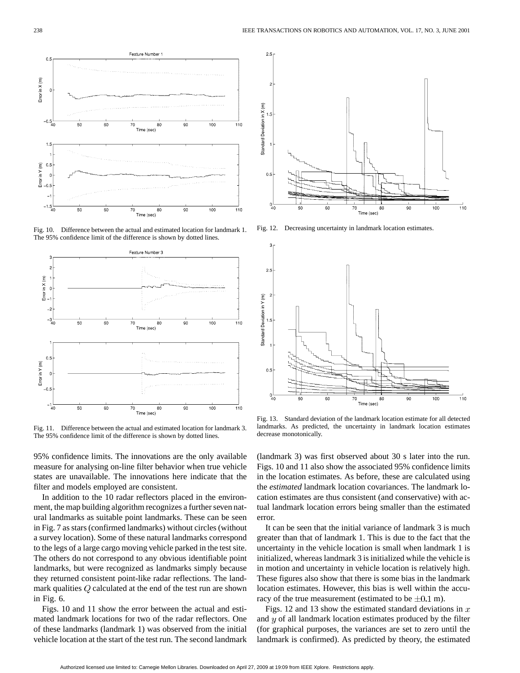

Fig. 10. Difference between the actual and estimated location for landmark 1. The 95% confidence limit of the difference is shown by dotted lines.



Fig. 11. Difference between the actual and estimated location for landmark 3. The 95% confidence limit of the difference is shown by dotted lines.

95% confidence limits. The innovations are the only available measure for analysing on-line filter behavior when true vehicle states are unavailable. The innovations here indicate that the filter and models employed are consistent.

In addition to the 10 radar reflectors placed in the environment, the map building algorithm recognizes a further seven natural landmarks as suitable point landmarks. These can be seen in Fig. 7 as stars (confirmed landmarks) without circles (without a survey location). Some of these natural landmarks correspond to the legs of a large cargo moving vehicle parked in the test site. The others do not correspond to any obvious identifiable point landmarks, but were recognized as landmarks simply because they returned consistent point-like radar reflections. The landmark qualities  $Q$  calculated at the end of the test run are shown in Fig. 6.

Figs. 10 and 11 show the error between the actual and estimated landmark locations for two of the radar reflectors. One of these landmarks (landmark 1) was observed from the initial vehicle location at the start of the test run. The second landmark



Fig. 12. Decreasing uncertainty in landmark location estimates.



Fig. 13. Standard deviation of the landmark location estimate for all detected landmarks. As predicted, the uncertainty in landmark location estimates decrease monotonically.

(landmark 3) was first observed about 30 s later into the run. Figs. 10 and 11 also show the associated 95% confidence limits in the location estimates. As before, these are calculated using the *estimated* landmark location covariances. The landmark location estimates are thus consistent (and conservative) with actual landmark location errors being smaller than the estimated error.

It can be seen that the initial variance of landmark 3 is much greater than that of landmark 1. This is due to the fact that the uncertainty in the vehicle location is small when landmark 1 is initialized, whereas landmark 3 is initialized while the vehicle is in motion and uncertainty in vehicle location is relatively high. These figures also show that there is some bias in the landmark location estimates. However, this bias is well within the accuracy of the true measurement (estimated to be  $\pm 0.1$  m).

Figs. 12 and 13 show the estimated standard deviations in  $x$ and  $y$  of all landmark location estimates produced by the filter (for graphical purposes, the variances are set to zero until the landmark is confirmed). As predicted by theory, the estimated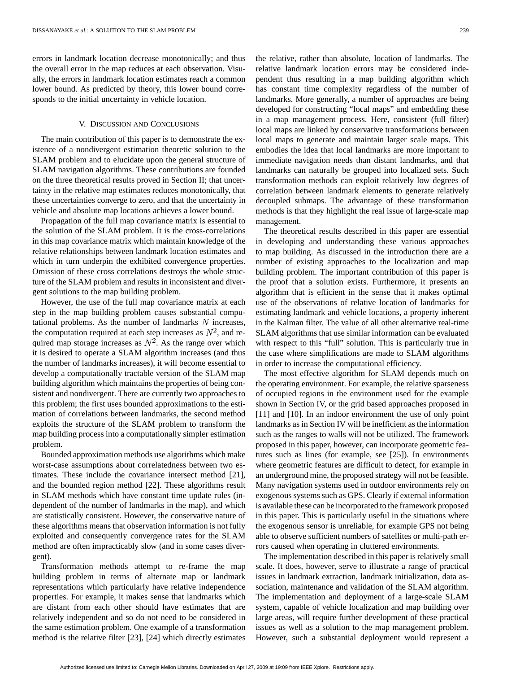errors in landmark location decrease monotonically; and thus the overall error in the map reduces at each observation. Visually, the errors in landmark location estimates reach a common lower bound. As predicted by theory, this lower bound corresponds to the initial uncertainty in vehicle location.

# V. DISCUSSION AND CONCLUSIONS

The main contribution of this paper is to demonstrate the existence of a nondivergent estimation theoretic solution to the SLAM problem and to elucidate upon the general structure of SLAM navigation algorithms. These contributions are founded on the three theoretical results proved in Section II; that uncertainty in the relative map estimates reduces monotonically, that these uncertainties converge to zero, and that the uncertainty in vehicle and absolute map locations achieves a lower bound.

Propagation of the full map covariance matrix is essential to the solution of the SLAM problem. It is the cross-correlations in this map covariance matrix which maintain knowledge of the relative relationships between landmark location estimates and which in turn underpin the exhibited convergence properties. Omission of these cross correlations destroys the whole structure of the SLAM problem and results in inconsistent and divergent solutions to the map building problem.

However, the use of the full map covariance matrix at each step in the map building problem causes substantial computational problems. As the number of landmarks  $N$  increases, the computation required at each step increases as  $N^2$ , and required map storage increases as  $N^2$ . As the range over which it is desired to operate a SLAM algorithm increases (and thus the number of landmarks increases), it will become essential to develop a computationally tractable version of the SLAM map building algorithm which maintains the properties of being consistent and nondivergent. There are currently two approaches to this problem; the first uses bounded approximations to the estimation of correlations between landmarks, the second method exploits the structure of the SLAM problem to transform the map building process into a computationally simpler estimation problem.

Bounded approximation methods use algorithms which make worst-case assumptions about correlatedness between two estimates. These include the covariance intersect method [21], and the bounded region method [22]. These algorithms result in SLAM methods which have constant time update rules (independent of the number of landmarks in the map), and which are statistically consistent. However, the conservative nature of these algorithms means that observation information is not fully exploited and consequently convergence rates for the SLAM method are often impracticably slow (and in some cases divergent).

Transformation methods attempt to re-frame the map building problem in terms of alternate map or landmark representations which particularly have relative independence properties. For example, it makes sense that landmarks which are distant from each other should have estimates that are relatively independent and so do not need to be considered in the same estimation problem. One example of a transformation method is the relative filter [23], [24] which directly estimates the relative, rather than absolute, location of landmarks. The relative landmark location errors may be considered independent thus resulting in a map building algorithm which has constant time complexity regardless of the number of landmarks. More generally, a number of approaches are being developed for constructing "local maps" and embedding these in a map management process. Here, consistent (full filter) local maps are linked by conservative transformations between local maps to generate and maintain larger scale maps. This embodies the idea that local landmarks are more important to immediate navigation needs than distant landmarks, and that landmarks can naturally be grouped into localized sets. Such transformation methods can exploit relatively low degrees of correlation between landmark elements to generate relatively decoupled submaps. The advantage of these transformation methods is that they highlight the real issue of large-scale map management.

The theoretical results described in this paper are essential in developing and understanding these various approaches to map building. As discussed in the introduction there are a number of existing approaches to the localization and map building problem. The important contribution of this paper is the proof that a solution exists. Furthermore, it presents an algorithm that is efficient in the sense that it makes optimal use of the observations of relative location of landmarks for estimating landmark and vehicle locations, a property inherent in the Kalman filter. The value of all other alternative real-time SLAM algorithms that use similar information can be evaluated with respect to this "full" solution. This is particularly true in the case where simplifications are made to SLAM algorithms in order to increase the computational efficiency.

The most effective algorithm for SLAM depends much on the operating environment. For example, the relative sparseness of occupied regions in the environment used for the example shown in Section IV, or the grid based approaches proposed in [11] and [10]. In an indoor environment the use of only point landmarks as in Section IV will be inefficient as the information such as the ranges to walls will not be utilized. The framework proposed in this paper, however, can incorporate geometric features such as lines (for example, see [25]). In environments where geometric features are difficult to detect, for example in an underground mine, the proposed strategy will not be feasible. Many navigation systems used in outdoor environments rely on exogenous systems such as GPS. Clearly if external information is available these can be incorporated to the framework proposed in this paper. This is particularly useful in the situations where the exogenous sensor is unreliable, for example GPS not being able to observe sufficient numbers of satellites or multi-path errors caused when operating in cluttered environments.

The implementation described in this paper is relatively small scale. It does, however, serve to illustrate a range of practical issues in landmark extraction, landmark initialization, data association, maintenance and validation of the SLAM algorithm. The implementation and deployment of a large-scale SLAM system, capable of vehicle localization and map building over large areas, will require further development of these practical issues as well as a solution to the map management problem. However, such a substantial deployment would represent a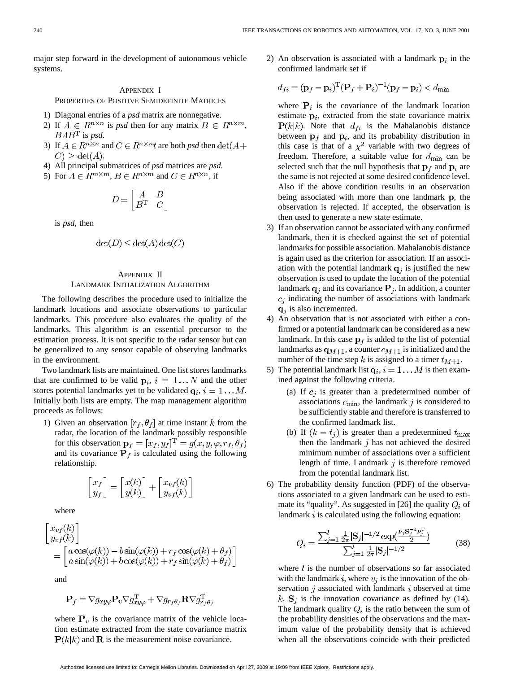major step forward in the development of autonomous vehicle systems.

# APPENDIX I

PROPERTIES OF POSITIVE SEMIDEFINITE MATRICES

- 1) Diagonal entries of a *psd* matrix are nonnegative.
- 2) If  $A \in R^{n \times n}$  is *psd* then for any matrix  $B \in R^{n \times m}$ ,  $BAB^{\mathrm{T}}$  is psd.
- 3) If  $A \in R^{n \times n}$  and  $C \in R^{n \times n}$  are both *psd* then  $\det(A +$  $C$  > det(A).
- 4) All principal submatrices of *psd* matrices are *psd*.
- 5) For  $A \in R^{m \times m}$ ,  $B \in R^{n \times m}$  and  $C \in R^{n \times n}$ , if

$$
D=\begin{bmatrix} A & B \\ B^\mathrm{T} & C \end{bmatrix}
$$

is *psd*, then

$$
\det(D) \le \det(A) \det(C)
$$

# APPENDIX II LANDMARK INITIALIZATION ALGORITHM

The following describes the procedure used to initialize the landmark locations and associate observations to particular landmarks. This procedure also evaluates the quality of the landmarks. This algorithm is an essential precursor to the estimation process. It is not specific to the radar sensor but can be generalized to any sensor capable of observing landmarks in the environment.

Two landmark lists are maintained. One list stores landmarks that are confirmed to be valid  $\mathbf{p}_i$ ,  $i = 1...N$  and the other stores potential landmarks yet to be validated  $q_i$ ,  $i = 1...M$ . Initially both lists are empty. The map management algorithm proceeds as follows:

1) Given an observation  $[r_f, \theta_f]$  at time instant k from the radar, the location of the landmark possibly responsible for this observation  $\mathbf{p}_f = [x_f, y_f]^T = g(x, y, \varphi, r_f, \theta_f)$ and its covariance  $\mathbf{P}_f$  is calculated using the following relationship.

$$
\begin{bmatrix} x_f \\ y_f \end{bmatrix} = \begin{bmatrix} x(k) \\ y(k) \end{bmatrix} + \begin{bmatrix} x_{vf}(k) \\ y_{vf}(k) \end{bmatrix}
$$

where

$$
\begin{bmatrix} x_{vf}(k) \\ y_{vf}(k) \end{bmatrix}
$$
  
= 
$$
\begin{bmatrix} a\cos(\varphi(k)) - b\sin(\varphi(k)) + r_f\cos(\varphi(k) + \theta_f) \\ a\sin(\varphi(k)) + b\cos(\varphi(k)) + r_f\sin(\varphi(k) + \theta_f) \end{bmatrix}
$$

and

$$
\mathbf{P}_f = \nabla g_{xy\varphi} \mathbf{P}_v \nabla g_{xy\varphi}^{\mathrm{T}} + \nabla g_{r_f\theta_f} \mathbf{R} \nabla g_{r_f\theta_f}^{\mathrm{T}}
$$

where  $P_v$  is the covariance matrix of the vehicle location estimate extracted from the state covariance matrix  $P(k|k)$  and **R** is the measurement noise covariance.

2) An observation is associated with a landmark  $p_i$  in the confirmed landmark set if

$$
d_{fi} = (\mathbf{p}_f - \mathbf{p}_i)^{\mathrm{T}} (\mathbf{P}_f + \mathbf{P}_i)^{-1} (\mathbf{p}_f - \mathbf{p}_i) < d_{\min}
$$

where  $P_i$  is the covariance of the landmark location estimate  $\mathbf{p}_i$ , extracted from the state covariance matrix  $P(k|k)$ . Note that  $d_{fi}$  is the Mahalanobis distance between  $\mathbf{p}_f$  and  $\mathbf{p}_i$ , and its probability distribution in this case is that of a  $\chi^2$  variable with two degrees of freedom. Therefore, a suitable value for  $d_{\text{min}}$  can be selected such that the null hypothesis that  $\mathbf{p}_f$  and  $\mathbf{p}_i$  are the same is not rejected at some desired confidence level. Also if the above condition results in an observation being associated with more than one landmark p, the observation is rejected. If accepted, the observation is then used to generate a new state estimate.

- 3) If an observation cannot be associated with any confirmed landmark, then it is checked against the set of potential landmarks for possible association. Mahalanobis distance is again used as the criterion for association. If an association with the potential landmark  $q_i$  is justified the new observation is used to update the location of the potential landmark  $\mathbf{q}_i$  and its covariance  $\mathbf{P}_i$ . In addition, a counter  $c_i$  indicating the number of associations with landmark  $q_i$  is also incremented.
- 4) An observation that is not associated with either a confirmed or a potential landmark can be considered as a new landmark. In this case  $\mathbf{p}_f$  is added to the list of potential landmarks as  $q_{M+1}$ , a counter  $c_{M+1}$  is initialized and the number of the time step k is assigned to a timer  $t_{M+1}$ .
- 5) The potential landmark list  $\mathbf{q}_i$ ,  $i = 1 \dots M$  is then examined against the following criteria.
	- (a) If  $c_i$  is greater than a predetermined number of associations  $c_{\min}$ , the landmark j is considered to be sufficiently stable and therefore is transferred to the confirmed landmark list.
	- (b) If  $(k t_j)$  is greater than a predetermined  $t_{\text{max}}$ then the landmark  $j$  has not achieved the desired minimum number of associations over a sufficient length of time. Landmark  $j$  is therefore removed from the potential landmark list.
- 6) The probability density function (PDF) of the observations associated to a given landmark can be used to estimate its "quality". As suggested in [26] the quality  $Q_i$  of landmark  $i$  is calculated using the following equation:

$$
Q_i = \frac{\sum_{j=1}^{l} \frac{1}{2\pi} |\mathbf{S}_j|^{-1/2} \exp(\frac{\nu_j \mathbf{S}_j^{-1} \nu_j^{\mathrm{T}}}{2})}{\sum_{j=1}^{l} \frac{1}{2\pi} |\mathbf{S}_j|^{-1/2}}
$$
(38)

where  $l$  is the number of observations so far associated with the landmark i, where  $v_j$  is the innovation of the observation  $j$  associated with landmark  $i$  observed at time k.  $S_i$  is the innovation covariance as defined by (14). The landmark quality  $Q_i$  is the ratio between the sum of the probability densities of the observations and the maximum value of the probability density that is achieved when all the observations coincide with their predicted

Authorized licensed use limited to: Carnegie Mellon Libraries. Downloaded on April 27, 2009 at 19:09 from IEEE Xplore. Restrictions apply.